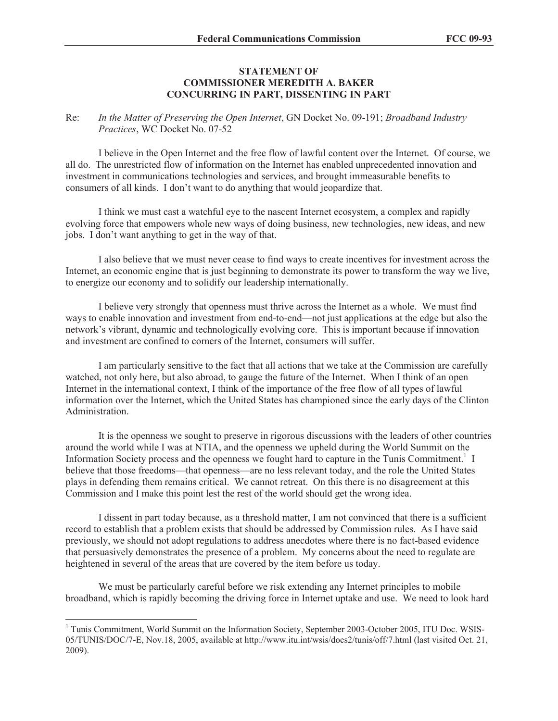## **STATEMENT OF COMMISSIONER MEREDITH A. BAKER CONCURRING IN PART, DISSENTING IN PART**

## Re: *In the Matter of Preserving the Open Internet*, GN Docket No. 09-191; *Broadband Industry Practices*, WC Docket No. 07-52

I believe in the Open Internet and the free flow of lawful content over the Internet. Of course, we all do. The unrestricted flow of information on the Internet has enabled unprecedented innovation and investment in communications technologies and services, and brought immeasurable benefits to consumers of all kinds. I don't want to do anything that would jeopardize that.

I think we must cast a watchful eye to the nascent Internet ecosystem, a complex and rapidly evolving force that empowers whole new ways of doing business, new technologies, new ideas, and new jobs. I don't want anything to get in the way of that.

I also believe that we must never cease to find ways to create incentives for investment across the Internet, an economic engine that is just beginning to demonstrate its power to transform the way we live, to energize our economy and to solidify our leadership internationally.

I believe very strongly that openness must thrive across the Internet as a whole. We must find ways to enable innovation and investment from end-to-end—not just applications at the edge but also the network's vibrant, dynamic and technologically evolving core. This is important because if innovation and investment are confined to corners of the Internet, consumers will suffer.

I am particularly sensitive to the fact that all actions that we take at the Commission are carefully watched, not only here, but also abroad, to gauge the future of the Internet. When I think of an open Internet in the international context, I think of the importance of the free flow of all types of lawful information over the Internet, which the United States has championed since the early days of the Clinton Administration.

It is the openness we sought to preserve in rigorous discussions with the leaders of other countries around the world while I was at NTIA, and the openness we upheld during the World Summit on the Information Society process and the openness we fought hard to capture in the Tunis Commitment.<sup>1</sup> I believe that those freedoms—that openness—are no less relevant today, and the role the United States plays in defending them remains critical. We cannot retreat. On this there is no disagreement at this Commission and I make this point lest the rest of the world should get the wrong idea.

I dissent in part today because, as a threshold matter, I am not convinced that there is a sufficient record to establish that a problem exists that should be addressed by Commission rules. As I have said previously, we should not adopt regulations to address anecdotes where there is no fact-based evidence that persuasively demonstrates the presence of a problem. My concerns about the need to regulate are heightened in several of the areas that are covered by the item before us today.

We must be particularly careful before we risk extending any Internet principles to mobile broadband, which is rapidly becoming the driving force in Internet uptake and use. We need to look hard

<sup>&</sup>lt;sup>1</sup> Tunis Commitment, World Summit on the Information Society, September 2003-October 2005, ITU Doc. WSIS-05/TUNIS/DOC/7-E, Nov.18, 2005, available at http://www.itu.int/wsis/docs2/tunis/off/7.html (last visited Oct. 21, 2009).